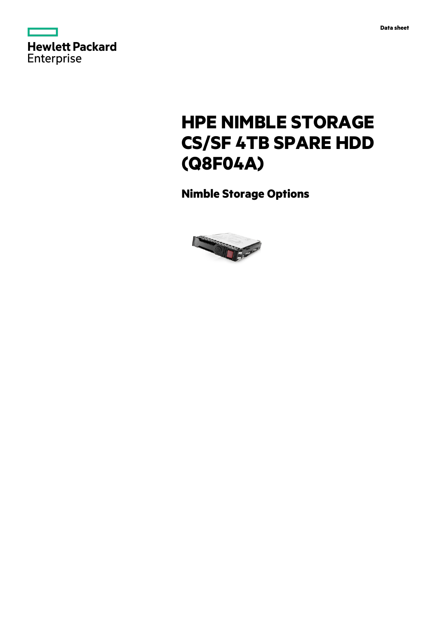

# **HPE NIMBLE STORAGE CS/SF 4TB SPARE HDD (Q8F04A)**

**Nimble Storage Options**